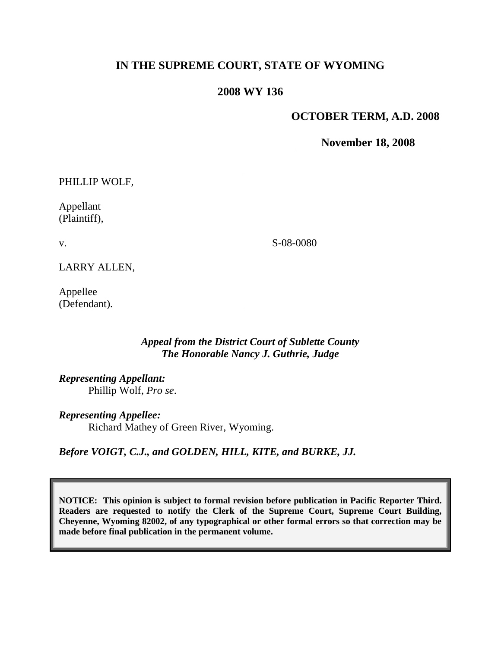# **IN THE SUPREME COURT, STATE OF WYOMING**

# **2008 WY 136**

# **OCTOBER TERM, A.D. 2008**

**November 18, 2008**

PHILLIP WOLF,

Appellant (Plaintiff),

v.

S-08-0080

LARRY ALLEN,

Appellee (Defendant).

# *Appeal from the District Court of Sublette County The Honorable Nancy J. Guthrie, Judge*

*Representing Appellant:*

Phillip Wolf, *Pro se*.

*Representing Appellee:*

Richard Mathey of Green River, Wyoming.

*Before VOIGT, C.J., and GOLDEN, HILL, KITE, and BURKE, JJ.*

**NOTICE: This opinion is subject to formal revision before publication in Pacific Reporter Third. Readers are requested to notify the Clerk of the Supreme Court, Supreme Court Building, Cheyenne, Wyoming 82002, of any typographical or other formal errors so that correction may be made before final publication in the permanent volume.**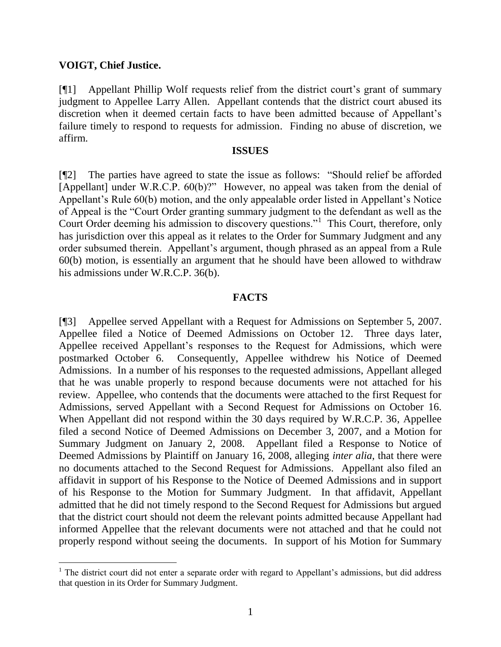## **VOIGT, Chief Justice.**

[¶1] Appellant Phillip Wolf requests relief from the district court's grant of summary judgment to Appellee Larry Allen. Appellant contends that the district court abused its discretion when it deemed certain facts to have been admitted because of Appellant's failure timely to respond to requests for admission. Finding no abuse of discretion, we affirm.

#### **ISSUES**

[¶2] The parties have agreed to state the issue as follows: "Should relief be afforded [Appellant] under W.R.C.P. 60(b)?" However, no appeal was taken from the denial of Appellant's Rule 60(b) motion, and the only appealable order listed in Appellant's Notice of Appeal is the "Court Order granting summary judgment to the defendant as well as the Court Order deeming his admission to discovery questions."<sup>1</sup> This Court, therefore, only has jurisdiction over this appeal as it relates to the Order for Summary Judgment and any order subsumed therein. Appellant's argument, though phrased as an appeal from a Rule 60(b) motion, is essentially an argument that he should have been allowed to withdraw his admissions under W.R.C.P. 36(b).

## **FACTS**

[¶3] Appellee served Appellant with a Request for Admissions on September 5, 2007. Appellee filed a Notice of Deemed Admissions on October 12. Three days later, Appellee received Appellant's responses to the Request for Admissions, which were postmarked October 6. Consequently, Appellee withdrew his Notice of Deemed Admissions. In a number of his responses to the requested admissions, Appellant alleged that he was unable properly to respond because documents were not attached for his review. Appellee, who contends that the documents were attached to the first Request for Admissions, served Appellant with a Second Request for Admissions on October 16. When Appellant did not respond within the 30 days required by W.R.C.P. 36, Appellee filed a second Notice of Deemed Admissions on December 3, 2007, and a Motion for Summary Judgment on January 2, 2008. Appellant filed a Response to Notice of Deemed Admissions by Plaintiff on January 16, 2008, alleging *inter alia*, that there were no documents attached to the Second Request for Admissions. Appellant also filed an affidavit in support of his Response to the Notice of Deemed Admissions and in support of his Response to the Motion for Summary Judgment. In that affidavit, Appellant admitted that he did not timely respond to the Second Request for Admissions but argued that the district court should not deem the relevant points admitted because Appellant had informed Appellee that the relevant documents were not attached and that he could not properly respond without seeing the documents. In support of his Motion for Summary

<sup>&</sup>lt;sup>1</sup> The district court did not enter a separate order with regard to Appellant's admissions, but did address that question in its Order for Summary Judgment.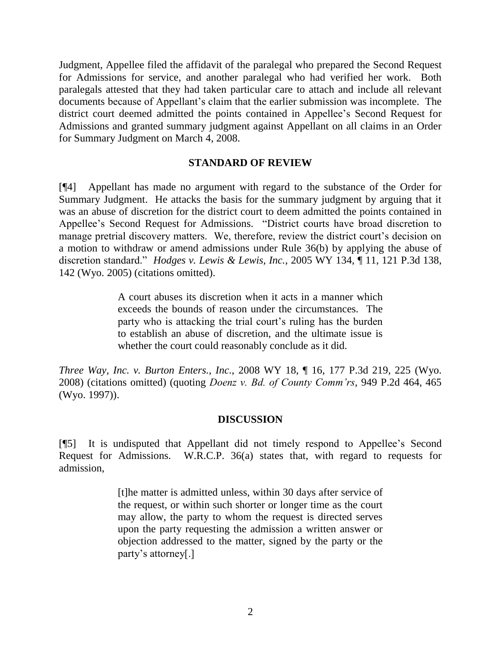Judgment, Appellee filed the affidavit of the paralegal who prepared the Second Request for Admissions for service, and another paralegal who had verified her work. Both paralegals attested that they had taken particular care to attach and include all relevant documents because of Appellant's claim that the earlier submission was incomplete. The district court deemed admitted the points contained in Appellee's Second Request for Admissions and granted summary judgment against Appellant on all claims in an Order for Summary Judgment on March 4, 2008.

## **STANDARD OF REVIEW**

[¶4] Appellant has made no argument with regard to the substance of the Order for Summary Judgment. He attacks the basis for the summary judgment by arguing that it was an abuse of discretion for the district court to deem admitted the points contained in Appellee's Second Request for Admissions. "District courts have broad discretion to manage pretrial discovery matters. We, therefore, review the district court's decision on a motion to withdraw or amend admissions under Rule 36(b) by applying the abuse of discretion standard." *Hodges v. Lewis & Lewis, Inc.*, 2005 WY 134, ¶ 11, 121 P.3d 138, 142 (Wyo. 2005) (citations omitted).

> A court abuses its discretion when it acts in a manner which exceeds the bounds of reason under the circumstances. The party who is attacking the trial court's ruling has the burden to establish an abuse of discretion, and the ultimate issue is whether the court could reasonably conclude as it did.

*Three Way, Inc. v. Burton Enters., Inc.*, 2008 WY 18, ¶ 16, 177 P.3d 219, 225 (Wyo. 2008) (citations omitted) (quoting *Doenz v. Bd. of County Comm'rs*, 949 P.2d 464, 465 (Wyo. 1997)).

# **DISCUSSION**

[¶5] It is undisputed that Appellant did not timely respond to Appellee's Second Request for Admissions. W.R.C.P. 36(a) states that, with regard to requests for admission,

> [t]he matter is admitted unless, within 30 days after service of the request, or within such shorter or longer time as the court may allow, the party to whom the request is directed serves upon the party requesting the admission a written answer or objection addressed to the matter, signed by the party or the party's attorney[.]